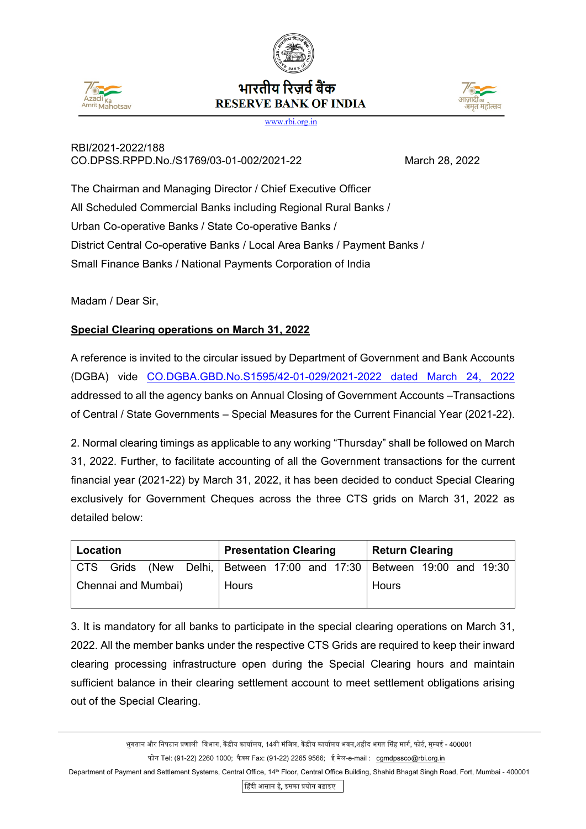





www.rbi.org.in

## RBI/2021-2022/188 CO.DPSS.RPPD.No./S1769/03-01-002/2021-22 March 28, 2022

The Chairman and Managing Director / Chief Executive Officer All Scheduled Commercial Banks including Regional Rural Banks / Urban Co-operative Banks / State Co-operative Banks / District Central Co-operative Banks / Local Area Banks / Payment Banks / Small Finance Banks / National Payments Corporation of India

Madam / Dear Sir,

## **Special Clearing operations on March 31, 2022**

A reference is invited to the circular issued by Department of Government and Bank Accounts (DGBA) vide [CO.DGBA.GBD.No.S1595/42-01-029/2021-2022 dated March 24, 2022](https://www.rbi.org.in/Scripts/NotificationUser.aspx?Id=12259&Mode=0) addressed to all the agency banks on Annual Closing of Government Accounts –Transactions of Central / State Governments – Special Measures for the Current Financial Year (2021-22).

2. Normal clearing timings as applicable to any working "Thursday" shall be followed on March 31, 2022. Further, to facilitate accounting of all the Government transactions for the current financial year (2021-22) by March 31, 2022, it has been decided to conduct Special Clearing exclusively for Government Cheques across the three CTS grids on March 31, 2022 as detailed below:

| Location            |  |  |  | <b>Presentation Clearing</b> |  |  |  | <b>Return Clearing</b>                                                |  |  |  |
|---------------------|--|--|--|------------------------------|--|--|--|-----------------------------------------------------------------------|--|--|--|
|                     |  |  |  |                              |  |  |  | CTS Grids (New Delhi, Between 17:00 and 17:30 Between 19:00 and 19:30 |  |  |  |
| Chennai and Mumbai) |  |  |  | Hours                        |  |  |  | Hours                                                                 |  |  |  |

3. It is mandatory for all banks to participate in the special clearing operations on March 31, 2022. All the member banks under the respective CTS Grids are required to keep their inward clearing processing infrastructure open during the Special Clearing hours and maintain sufficient balance in their clearing settlement account to meet settlement obligations arising out of the Special Clearing.

�हंदी आसान है, इसका �योग बढ़ाइए

भुगतान और निपटान प्रणाली विभाग, केंद्रीय कार्यालय, 14वी मंजिल, केंद्रीय कार्यालय भवन,शहीद भगत सिंह मार्ग, फोर्ट, मुम्बई - 400001 फोन Tel: (91-22) 2260 1000; फैक्स Fax: (91-22) 2265 9566; ई मेल-e-mail : [cgmdpssco@rbi.org.in](mailto:cgmdpssco@rbi.org.in)

Department of Payment and Settlement Systems, Central Office, 14<sup>th</sup> Floor, Central Office Building, Shahid Bhagat Singh Road, Fort, Mumbai - 400001